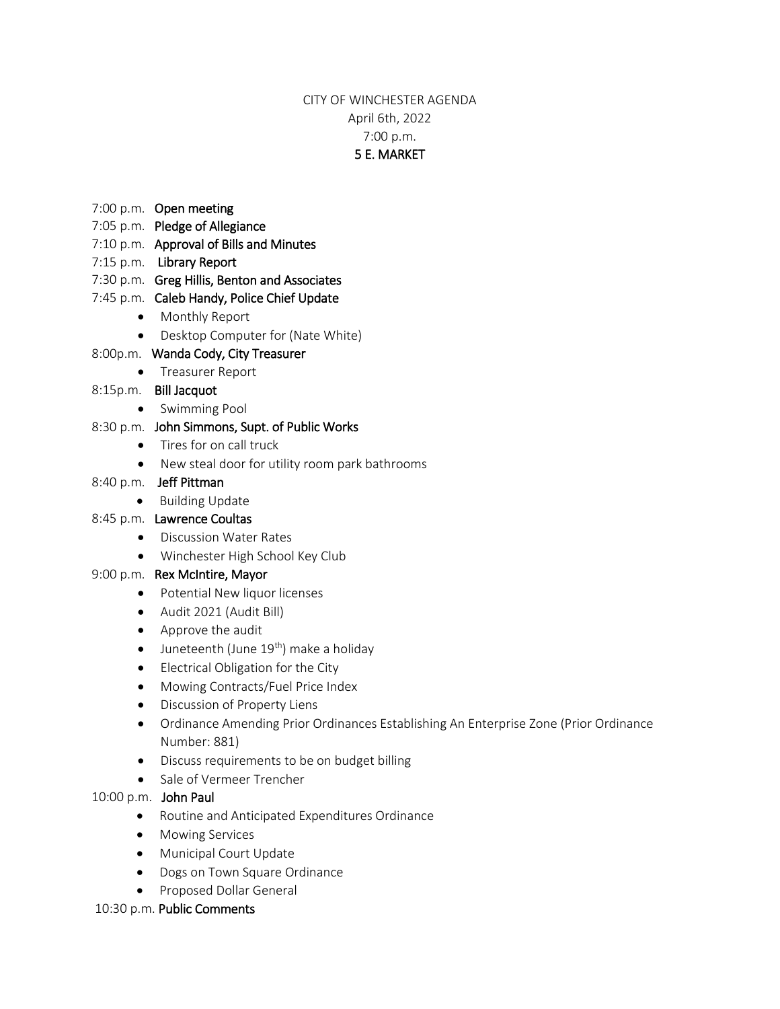## CITY OF WINCHESTER AGENDA April 6th, 2022 7:00 p.m. 5 E. MARKET

- 7:00 p.m. Open meeting
- 7:05 p.m. Pledge of Allegiance
- 7:10 p.m. Approval of Bills and Minutes
- 7:15 p.m. Library Report
- 7:30 p.m. Greg Hillis, Benton and Associates
- 7:45 p.m. Caleb Handy, Police Chief Update
	- Monthly Report
	- Desktop Computer for (Nate White)

## 8:00p.m. Wanda Cody, City Treasurer

• Treasurer Report

## 8:15p.m. Bill Jacquot

- Swimming Pool
- 8:30 p.m. John Simmons, Supt. of Public Works
	- Tires for on call truck
	- New steal door for utility room park bathrooms

#### 8:40 p.m. Jeff Pittman

• Building Update

## 8:45 p.m. Lawrence Coultas

- Discussion Water Rates
- Winchester High School Key Club

## 9:00 p.m. Rex McIntire, Mayor

- Potential New liquor licenses
- Audit 2021 (Audit Bill)
- Approve the audit
- $\bullet$  Juneteenth (June 19<sup>th</sup>) make a holiday
- Electrical Obligation for the City
- Mowing Contracts/Fuel Price Index
- Discussion of Property Liens
- Ordinance Amending Prior Ordinances Establishing An Enterprise Zone (Prior Ordinance Number: 881)
- Discuss requirements to be on budget billing
- Sale of Vermeer Trencher

#### 10:00 p.m. John Paul

- Routine and Anticipated Expenditures Ordinance
- **•** Mowing Services
- Municipal Court Update
- Dogs on Town Square Ordinance
- **•** Proposed Dollar General

#### 10:30 p.m. Public Comments